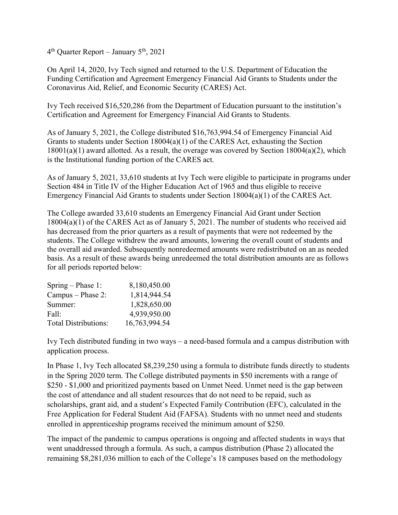$4<sup>th</sup>$  Quarter Report – January  $5<sup>th</sup>$ , 2021

On April 14, 2020, Ivy Tech signed and returned to the U.S. Department of Education the Funding Certification and Agreement Emergency Financial Aid Grants to Students under the Coronavirus Aid, Relief, and Economic Security (CARES) Act.

Ivy Tech received \$16,520,286 from the Department of Education pursuant to the institution's Certification and Agreement for Emergency Financial Aid Grants to Students.

As of January 5, 2021, the College distributed \$16,763,994.54 of Emergency Financial Aid Grants to students under Section 18004(a)(1) of the CARES Act, exhausting the Section  $18001(a)(1)$  award allotted. As a result, the overage was covered by Section  $18004(a)(2)$ , which is the Institutional funding portion of the CARES act.

As of January 5, 2021, 33,610 students at Ivy Tech were eligible to participate in programs under Section 484 in Title IV of the Higher Education Act of 1965 and thus eligible to receive Emergency Financial Aid Grants to students under Section 18004(a)(1) of the CARES Act.

The College awarded 33,610 students an Emergency Financial Aid Grant under Section 18004(a)(1) of the CARES Act as of January 5, 2021. The number of students who received aid has decreased from the prior quarters as a result of payments that were not redeemed by the students. The College withdrew the award amounts, lowering the overall count of students and the overall aid awarded. Subsequently nonredeemed amounts were redistributed on an as needed basis. As a result of these awards being unredeemed the total distribution amounts are as follows for all periods reported below:

| $Spring - Phase 1:$         | 8,180,450.00  |
|-----------------------------|---------------|
| Campus - Phase 2:           | 1,814,944.54  |
| Summer:                     | 1,828,650.00  |
| Fall:                       | 4,939,950.00  |
| <b>Total Distributions:</b> | 16,763,994.54 |

Ivy Tech distributed funding in two ways – a need-based formula and a campus distribution with application process.

In Phase 1, Ivy Tech allocated \$8,239,250 using a formula to distribute funds directly to students in the Spring 2020 term. The College distributed payments in \$50 increments with a range of \$250 - \$1,000 and prioritized payments based on Unmet Need. Unmet need is the gap between the cost of attendance and all student resources that do not need to be repaid, such as scholarships, grant aid, and a student's Expected Family Contribution (EFC), calculated in the Free Application for Federal Student Aid (FAFSA). Students with no unmet need and students enrolled in apprenticeship programs received the minimum amount of \$250.

The impact of the pandemic to campus operations is ongoing and affected students in ways that went unaddressed through a formula. As such, a campus distribution (Phase 2) allocated the remaining \$8,281,036 million to each of the College's 18 campuses based on the methodology